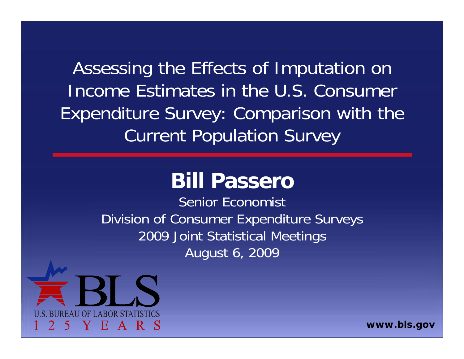Assessing the Effects of Imputation on Income Estimates in the U.S. Consumer Expenditure Survey: Comparison with the Current Population Survey

#### **Bill Passero**

Senior EconomistDivision of Consumer Expenditure Surveys 2009 Joint Statistical Meetings August 6, 2009



*www.bls.gov*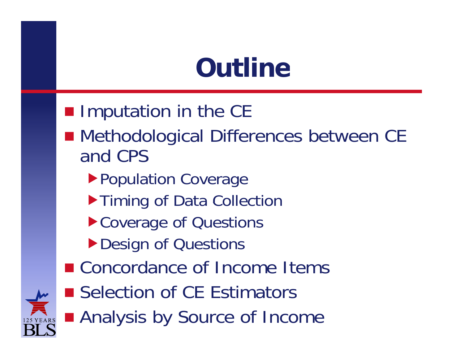### **Outline**

**Imputation in the CE** ■ Methodological Differences between CE and CPSthe contract of the contract of the contract of the contract of the contract of the contract of the contract of ▶ Population Coverage  $\blacktriangleright$  Timing of Data Collection ▶ Coverage of Questions Design of Questions ■ Concordance of Income Items ■ Selection of CE Estimators ■ Analysis by Source of Income

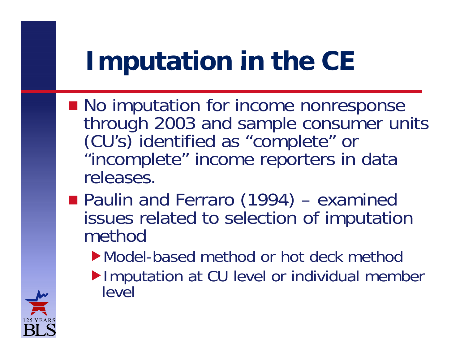### **Imputation in the CE**

- **No imputation for income nonresponse** through 2003 and sample consumer units (CU's) identified as "complete" or "incomplete" income reporters in data releases.
- **Paulin and Ferraro (1994)** – examined issues related to selection of imputation method
	- Model-based method or hot deck method
	- ▶ Imputation at CU level or individual member level

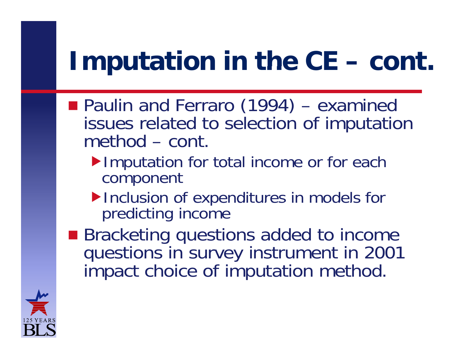#### **Imputation in the CE –n** in the CE – cont.

- Paulin and Ferraro (1994) – examined issues related to selection of imputation method – cont.
	- Imputation for total income or for each component
	- $\blacktriangleright$  Inclusion of expenditures in models for predicting income
- Bracketing questions added to income questions in survey instrument in 2001 impact choice of imputation method.

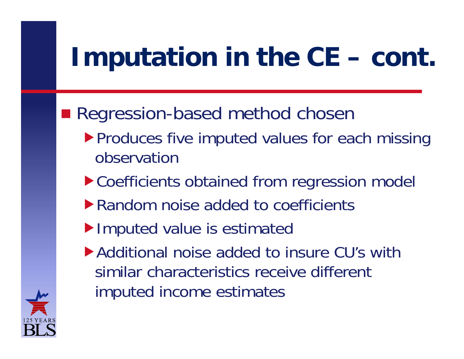### **l** mputation in the CE – cont.

Regression-based method chosen

- **Produces five imputed values for each missing** observation
- ▶ Coefficients obtained from regression model
- $\blacktriangleright$  Random noise added to coefficients
- Imputed value is estimated
- Additional noise added to insure CU's with similar characteristics receive different imputed income estimates

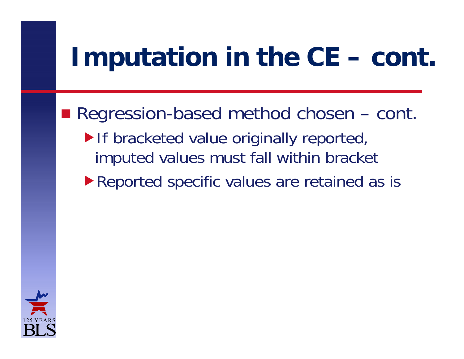### **l** mputation in the CE – cont.

Regression-based method chosen  $-$  cont. If bracketed value originally reported, imputed values must fall within bracket ▶ Reported specific values are retained as is

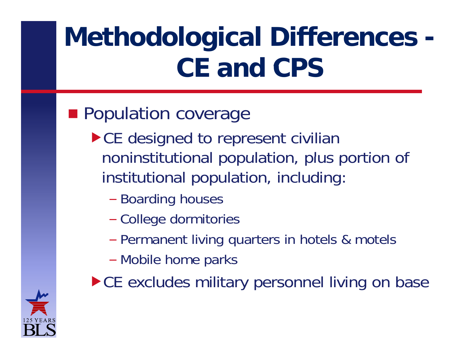# **Methodological Differences - CE and CPS**

#### **Population coverage**

- ▶ CE designed to represent civilian noninstitutional population, plus portion of institutional population, including:
	- –– Boarding houses
	- –College dormitories
	- –Permanent living quarters in hotels & motels
	- –– Mobile home parks
- ▶ CE excludes military personnel living on base

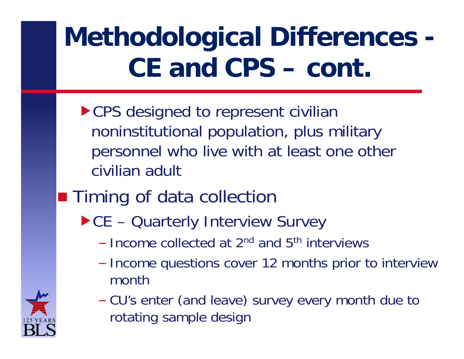- $\blacktriangleright$  CPS designed to represent civilian noninstitutional population, plus military personnel who live with at least one other civilian adult
- **Timing of data collection** 
	- ▶ CE Quarterly Interview Survey
		- Income collected at 2<sup>nd</sup> and 5<sup>th</sup> interviews
		- –– Income questions cover 12 months prior to interview month
		- – CU's enter (and leave) survey every month due to rotating sample design

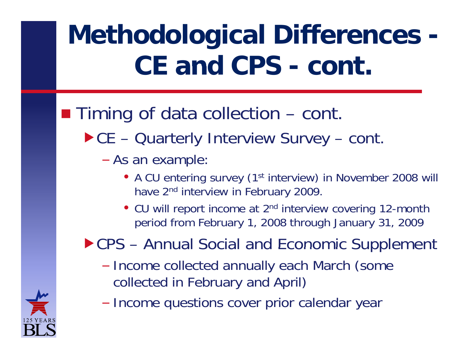### $\blacksquare$  Timing of data collection  $-$  cont.

▶ CE – Quarterly Interview Survey – cont.

–As an example:

- A CU entering survey (1<sup>st</sup> interview) in November 2008 will have 2<sup>nd</sup> interview in February 2009.
- CU will report income at 2<sup>nd</sup> interview covering 12-month period from February 1, 2008 through January 31, 2009

#### $\blacktriangleright$  CPS – Annual Social and Economic Supplement

- –- Income collected annually each March (some collected in February and April)
- –- Income questions cover prior calendar year

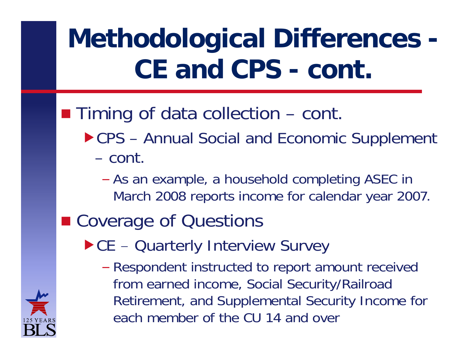#### **Timing of data collection** – cont.

- ▶ CPS Annual Social and Economic Supplement – cont.
	- – As an example, a household completing ASEC in March 2008 reports income for calendar year 2007.
- Coverage of Questions
	- $\blacktriangleright$  CE  $-$ - Quarterly Interview Survey
		- – Respondent instructed to report amount received from earned income, Social Security/Railroad Retirement, and Supplemental Security Income for each member of the CU 14 and over

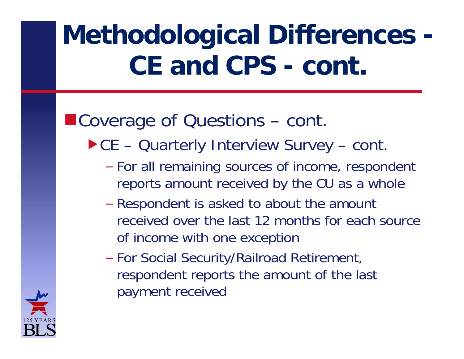#### ■Coverage of Questions – cont.

- ▶ CE Quarterly Interview Survey cont.
	- –- For all remaining sources of income, respondent reports amount received by the CU as a whole
	- – Respondent is asked to about the amount received over the last 12 months for each source of income with one exception
	- –- For Social Security/Railroad Retirement, respondent reports the amount of the last payment received

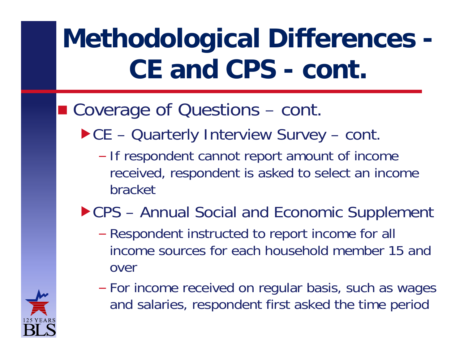#### ■ Coverage of Questions – cont.

- ▶ CE Quarterly Interview Survey cont.
	- –- If respondent cannot report amount of income received, respondent is asked to select an income bracket

#### CPS – Annual Social and Economic Supplement

- – Respondent instructed to report income for all income sources for each household member 15 and over
- For income received on regular basis, such as wages and salaries, respondent first asked the time period

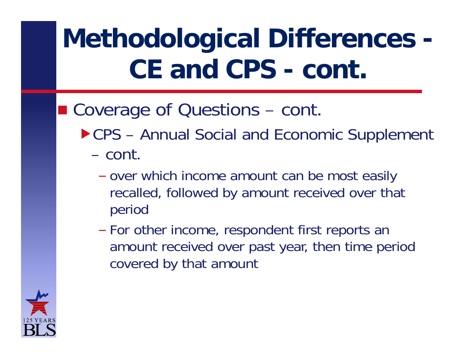#### ■ Coverage of Questions – cont.

- ▶ CPS Annual Social and Economic Supplement
	- cont.
		- –- over which income amount can be most easily recalled, followed by amount received over that period
		- –– For other income, respondent first reports an amount received over past year, then time period covered by that amount

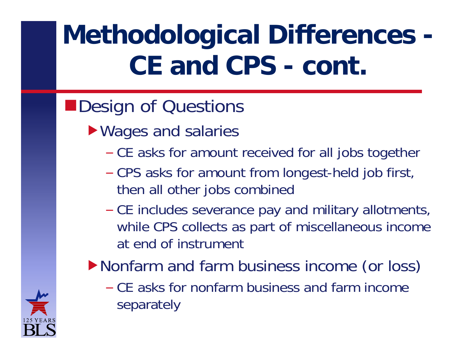### Design of Questions

- ▶ Wages and salaries
	- –- CE asks for amount received for all jobs together
	- –- CPS asks for amount from longest-held job first, then all other jobs combined
	- –- CE includes severance pay and military allotments, while CPS collects as part of miscellaneous income at end of instrument
- Nonfarm and farm business income (or loss)
	- CE asks for nonfarm business and farm income separately

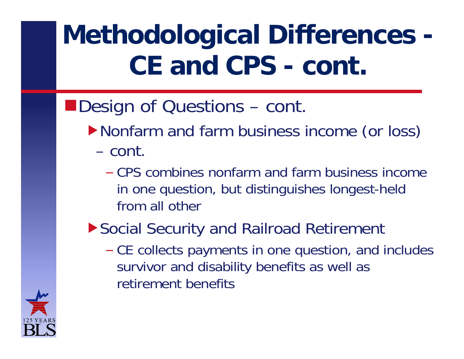- Nonfarm and farm business income (or loss) – cont.
	- CPS combines nonfarm and farm business income in one question, but distinguishes longest-held from all other
- Social Security and Railroad Retirement
	- –- CE collects payments in one question, and includes survivor and disability benefits as well as retirement benefits

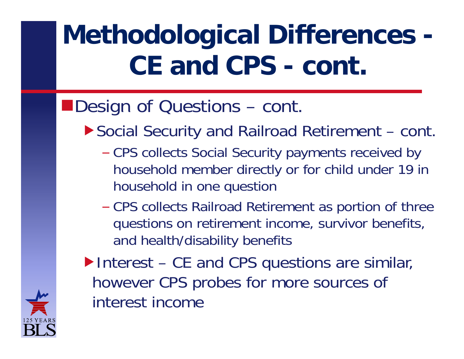#### ■Design of Questions – cont.

- ▶ Social Security and Railroad Retirement cont.
	- –- CPS collects Social Security payments received by household member directly or for child under 19 in household in one question
	- CPS collects Railroad Retirement as portion of three questions on retirement income, survivor benefits, and health/disability benefits



▶ Interest – CE and CPS questions are similar, however CPS probes for more sources of interest income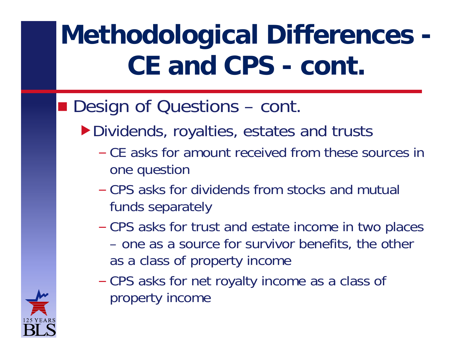- Dividends, royalties, estates and trusts
	- CE asks for amount received from these sources in one question
	- CPS asks for dividends from stocks and mutual funds separately
	- – CPS asks for trust and estate income in two places – one as a source for survivor benefits, the other as a class of property income
	- – CPS asks for net royalty income as a class of property income

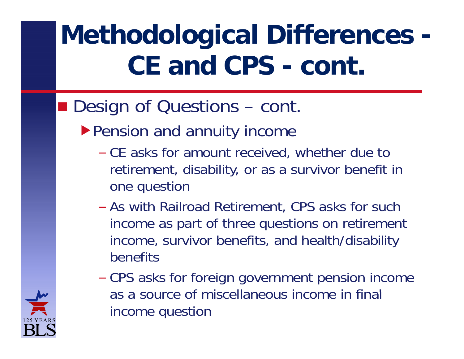- ▶ Pension and annuity income
	- –- CE asks for amount received, whether due to retirement, disability, or as a survivor benefit in one question
	- As with Railroad Retirement, CPS asks for such income as part of three questions on retirement income, survivor benefits, and health/disability benefits
	- – CPS asks for foreign government pension income as a source of miscellaneous income in final income question

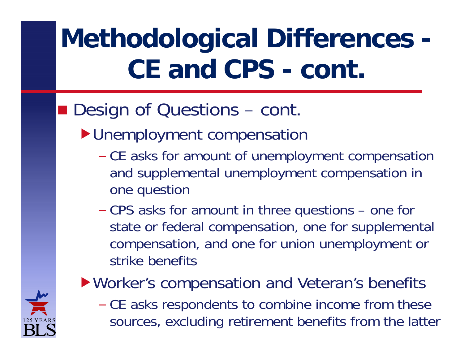#### **Design of Questions** – cont.

- **Diment compensation** 
	- –- CE asks for amount of unemployment compensation and supplemental unemployment compensation in one question
	- – CPS asks for amount in three questions – one for state or federal compensation, one for supplemental compensation, and one for union unemployment or strike benefits

#### ▶ Worker's compensation and Veteran's benefits

–- CE asks respondents to combine income from these sources, excluding retirement benefits from the latter

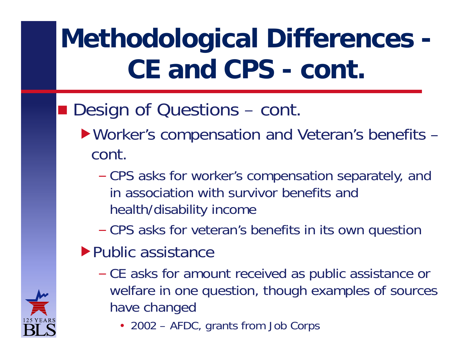- **Design of Questions** – cont.
	- ▶ Worker's compensation and Veteran's benefits cont.
		- – CPS asks for worker's compensation separately, and in association with survivor benefits and health/disability income
		- –CPS asks for veteran's benefits in its own question
	- $\blacktriangleright$  Public assistance
		- –- CE asks for amount received as public assistance or welfare in one question, though examples of sources have changed
			- 2002 AFDC, grants from Job Corps

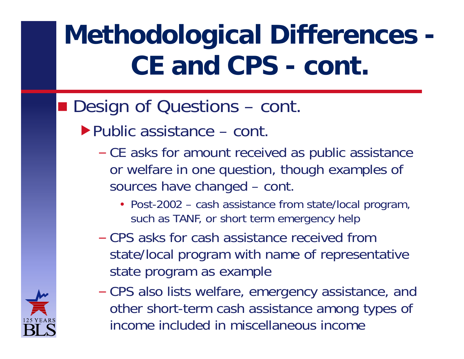- Public assistance cont.
	- –- CE asks for amount received as public assistance or welfare in one question, though examples of sources have changed – cont.
		- Post-2002 cash assistance from state/local program, such as TANF, or short term emergency help
	- CPS asks for cash assistance received from state/local program with name of representative state program as example
	- –- CPS also lists welfare, emergency assistance, and other short-term cash assistance among types of income included in miscellaneous income

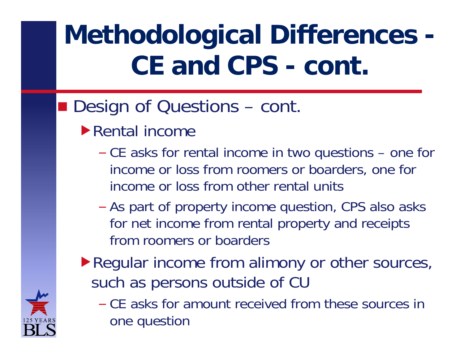- Rental income
	- – CE asks for rental income in two questions – one for income or loss from roomers or boarders, one for income or loss from other rental units
	- –- As part of property income question, CPS also asks for net income from rental property and receipts from roomers or boarders
- ▶ Regular income from alimony or other sources, such as persons outside of CU
	- CE asks for amount received from these sources in one question

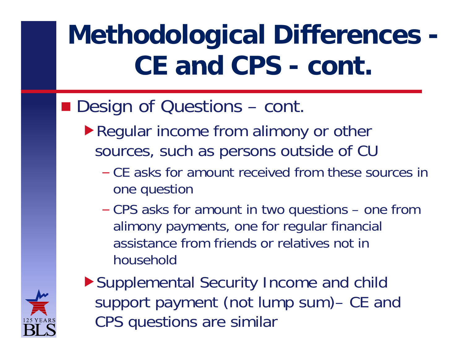- ▶ Regular income from alimony or other sources, such as persons outside of CU
	- CE asks for amount received from these sources in one question
	- – CPS asks for amount in two questions – one from alimony payments, one for regular financial assistance from friends or relatives not in household



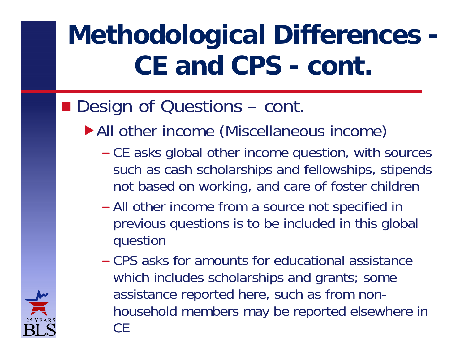- All other income (Miscellaneous income)
	- –- CE asks global other income question, with sources such as cash scholarships and fellowships, stipends not based on working, and care of foster children
	- –- All other income from a source not specified in previous questions is to be included in this global question
	- CPS asks for amounts for educational assistance which includes scholarships and grants; some assistance reported here, such as from nonhousehold members may be reported elsewhere in CE

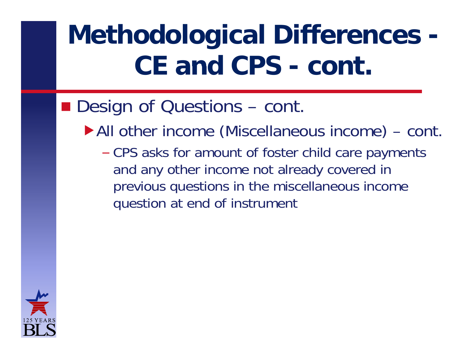- All other income (Miscellaneous income) cont.
	- – CPS asks for amount of foster child care payments and any other income not already covered in previous questions in the miscellaneous income question at end of instrument

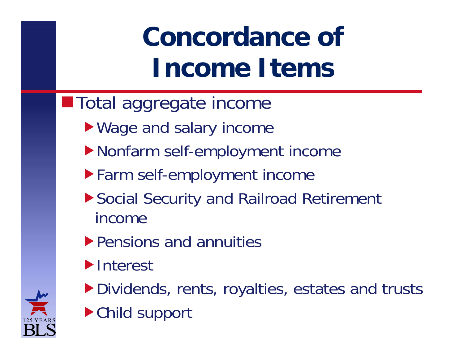# **Concordance of Income Items**

- **Total aggregate income** 
	- ▶ Wage and salary income
	- Nonfarm self-employment income
	- Farm self-employment income
	- ▶ Social Security and Railroad Retirement income
	- **Pensions and annuities**
	- **Interest**
	- Dividends, rents, royalties, estates and trusts
	- ▶ Child support

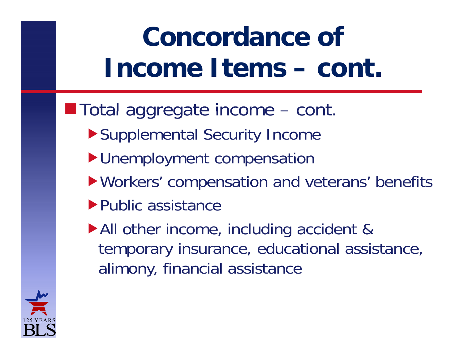#### **Concordance of Income Items–cont.**

- **Total aggregate income** – cont.
	- ▶ Supplemental Security Income
	- **I**Unemployment compensation
	- Workers' compensation and veterans' benefits
	- ▶ Public assistance
	- All other income, including accident & temporary insurance, educational assistance, alimony, financial assistance

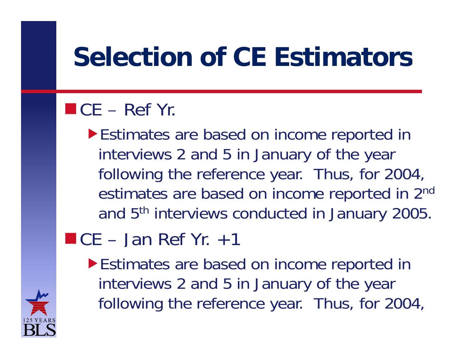### **Se ect o o C st ato s lection of CE Estimators**

#### $\blacksquare$  CE – Ref Yr.

Estimates are based on income reported in interviews 2 and 5 in January of the year following the reference year. Thus, for 2004, estimates are based on income reported in 2nd and 5th interviews conducted in January 2005.

 $\blacksquare$  CE – Jan Ref Yr.  $+1$ 

Estimates are based on income reported in interviews 2 and 5 in January of the year following the reference year. Thus, for 2004,

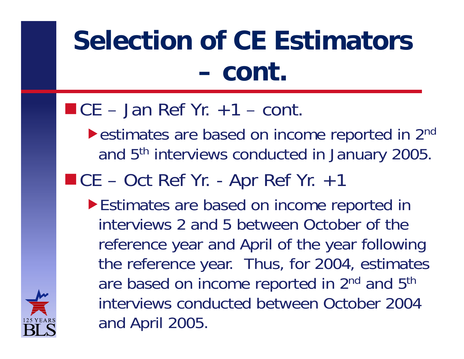#### **Selection of CE Estimators –cont.**

#### $\blacksquare$  CE – Jan Ref Yr.  $+1$  – cont.

- ▶ estimates are based on income reported in 2<sup>nd</sup> and 5<sup>th</sup> interviews conducted in January 2005.
- $C = Oct$  Ref Yr. Apr Ref Yr.  $+1$ 
	- $\blacktriangleright$  Estimates are based on income reported in interviews 2 and 5 between October of the reference year and April of the year following the reference year. Thus, for 2004, estimates are based on income reported in 2<sup>nd</sup> and 5<sup>th</sup> interviews conducted between October 2004 and April 2005.

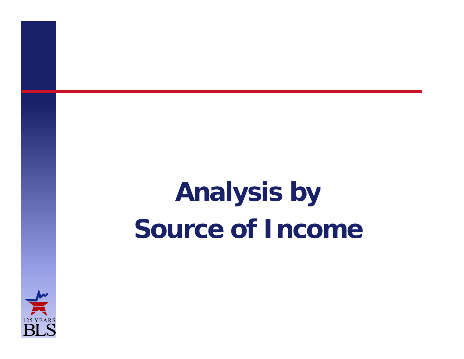# **Analy y sis b Source of Income**

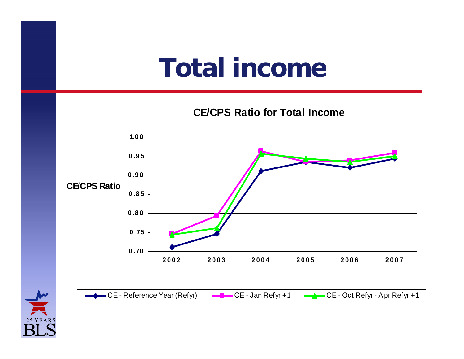### **Total income**

**CE/CPS Ratio for Total Income**



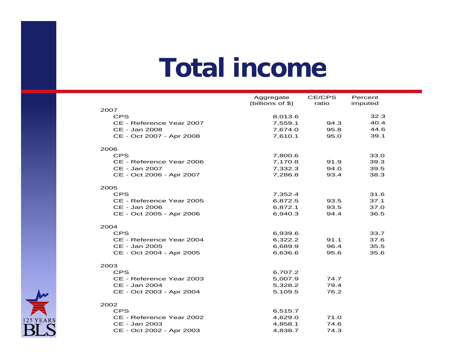### **Total income**

|                                           | Aggregate          | CE/CPS       | Percent      |
|-------------------------------------------|--------------------|--------------|--------------|
|                                           | (billions of \$)   | ratio        | imputed      |
| 2007                                      |                    |              |              |
| <b>CPS</b>                                | 8,013.6            |              | 32.3         |
| CE - Reference Year 2007<br>CE - Jan 2008 | 7,559.1            | 94.3         | 40.4<br>44.6 |
|                                           | 7,674.0<br>7,610.1 | 95.8<br>95.0 | 39.1         |
| CE - Oct 2007 - Apr 2008                  |                    |              |              |
| 2006                                      |                    |              |              |
| <b>CPS</b>                                | 7,800.6            |              | 33.0         |
| CE - Reference Year 2006                  | 7,170.8            | 91.9         | 39.3         |
| CE - Jan 2007                             | 7,332.3            | 94.0         | 39.5         |
| CE - Oct 2006 - Apr 2007                  | 7,286.8            | 93.4         | 38.3         |
|                                           |                    |              |              |
| 2005                                      |                    |              |              |
| <b>CPS</b>                                | 7,352.4            |              | 31.6         |
| CE - Reference Year 2005                  | 6,872.5            | 93.5         | 37.1         |
| CE - Jan 2006                             | 6,872.1            | 93.5         | 37.0         |
| CE - Oct 2005 - Apr 2006                  | 6,940.3            | 94.4         | 36.5         |
| 2004                                      |                    |              |              |
| <b>CPS</b>                                | 6,939.6            |              | 33.7         |
| CE - Reference Year 2004                  | 6,322.2            | 91.1         | 37.6         |
| CE - Jan 2005                             | 6,689.9            | 96.4         | 35.5         |
| CE - Oct 2004 - Apr 2005                  | 6,636.6            | 95.6         | 35.6         |
|                                           |                    |              |              |
| 2003                                      |                    |              |              |
| <b>CPS</b>                                | 6,707.2            |              |              |
| CE - Reference Year 2003                  | 5,007.9            | 74.7         |              |
| CE - Jan 2004                             | 5,328.2            | 79.4         |              |
| CE - Oct 2003 - Apr 2004                  | 5,109.5            | 76.2         |              |
| 2002                                      |                    |              |              |
| <b>CPS</b>                                | 6,515.7            |              |              |
| CE - Reference Year 2002                  | 4,629.0            | 71.0         |              |
| CE - Jan 2003                             | 4,858.1            | 74.6         |              |
| CE - Oct 2002 - Apr 2003                  | 4,838.7            | 74.3         |              |
|                                           |                    |              |              |

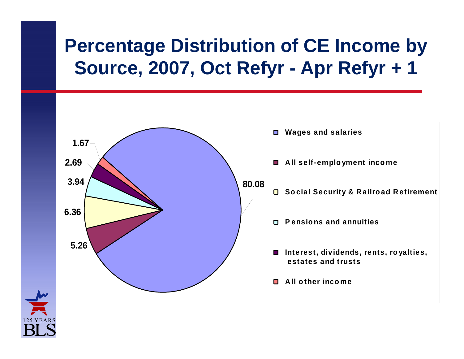### **Percentage Distribution of CE Income by Source 2007 Oct Refyr Source, 2007, Refyr - Apr Refyr <sup>+</sup> 1**

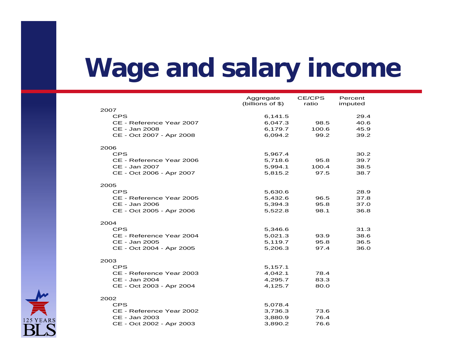### **Wage and salary income and**

|                          | Aggregate          | <b>CE/CPS</b> | Percent |
|--------------------------|--------------------|---------------|---------|
|                          | (billions of $$$ ) | ratio         | imputed |
| 2007                     |                    |               |         |
| <b>CPS</b>               | 6,141.5            |               | 29.4    |
| CE - Reference Year 2007 | 6,047.3            | 98.5          | 40.6    |
| CE - Jan 2008            | 6,179.7            | 100.6         | 45.9    |
| CE - Oct 2007 - Apr 2008 | 6,094.2            | 99.2          | 39.2    |
|                          |                    |               |         |
| 2006                     |                    |               |         |
| <b>CPS</b>               | 5,967.4            |               | 30.2    |
| CE - Reference Year 2006 | 5,718.6            | 95.8          | 39.7    |
| CE - Jan 2007            | 5,994.1            | 100.4         | 38.5    |
| CE - Oct 2006 - Apr 2007 | 5,815.2            | 97.5          | 38.7    |
|                          |                    |               |         |
| 2005                     |                    |               |         |
| <b>CPS</b>               | 5,630.6            |               | 28.9    |
| CE - Reference Year 2005 | 5,432.6            | 96.5          | 37.8    |
| CE - Jan 2006            | 5,394.3            | 95.8          | 37.0    |
| CE - Oct 2005 - Apr 2006 | 5,522.8            | 98.1          | 36.8    |
| 2004                     |                    |               |         |
| <b>CPS</b>               | 5,346.6            |               | 31.3    |
| CE - Reference Year 2004 | 5,021.3            | 93.9          | 38.6    |
| CE - Jan 2005            | 5,119.7            | 95.8          | 36.5    |
| CE - Oct 2004 - Apr 2005 | 5,206.3            | 97.4          | 36.0    |
|                          |                    |               |         |
| 2003                     |                    |               |         |
| <b>CPS</b>               | 5,157.1            |               |         |
| CE - Reference Year 2003 | 4,042.1            | 78.4          |         |
| CE - Jan 2004            | 4,295.7            | 83.3          |         |
| CE - Oct 2003 - Apr 2004 | 4,125.7            | 80.0          |         |
|                          |                    |               |         |
| 2002                     |                    |               |         |
| <b>CPS</b>               | 5,078.4            |               |         |
| CE - Reference Year 2002 | 3,736.3            | 73.6          |         |
| CE - Jan 2003            | 3,880.9            | 76.4          |         |
| CE - Oct 2002 - Apr 2003 | 3,890.2            | 76.6          |         |
|                          |                    |               |         |

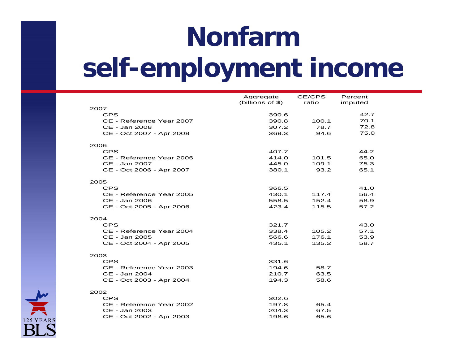# **Nonfarm self-employment income employment**

|                          | Aggregate<br>(billions of $$$ ) | CE/CPS<br>ratio | Percent<br>imputed |
|--------------------------|---------------------------------|-----------------|--------------------|
| 2007                     |                                 |                 |                    |
| <b>CPS</b>               | 390.6                           |                 | 42.7               |
| CE - Reference Year 2007 | 390.8                           | 100.1           | 70.1               |
| CE - Jan 2008            | 307.2                           | 78.7            | 72.8               |
| CE - Oct 2007 - Apr 2008 | 369.3                           | 94.6            | 75.0               |
|                          |                                 |                 |                    |
| 2006                     |                                 |                 |                    |
| <b>CPS</b>               | 407.7                           |                 | 44.2               |
| CE - Reference Year 2006 | 414.0                           | 101.5           | 65.0               |
| CE - Jan 2007            | 445.0                           | 109.1           | 75.3               |
| CE - Oct 2006 - Apr 2007 | 380.1                           | 93.2            | 65.1               |
| 2005                     |                                 |                 |                    |
| <b>CPS</b>               | 366.5                           |                 | 41.0               |
| CE - Reference Year 2005 | 430.1                           | 117.4           | 56.4               |
| CE - Jan 2006            | 558.5                           | 152.4           | 58.9               |
| CE - Oct 2005 - Apr 2006 | 423.4                           | 115.5           | 57.2               |
|                          |                                 |                 |                    |
| 2004<br><b>CPS</b>       | 321.7                           |                 | 43.0               |
| CE - Reference Year 2004 | 338.4                           | 105.2           | 57.1               |
| CE - Jan 2005            | 566.6                           | 176.1           | 53.9               |
| CE - Oct 2004 - Apr 2005 | 435.1                           | 135.2           | 58.7               |
|                          |                                 |                 |                    |
| 2003                     |                                 |                 |                    |
| <b>CPS</b>               | 331.6                           |                 |                    |
| CE - Reference Year 2003 | 194.6                           | 58.7            |                    |
| CE - Jan 2004            | 210.7                           | 63.5            |                    |
| CE - Oct 2003 - Apr 2004 | 194.3                           | 58.6            |                    |
| 2002                     |                                 |                 |                    |
| <b>CPS</b>               | 302.6                           |                 |                    |
| CE - Reference Year 2002 | 197.8                           | 65.4            |                    |
| CE - Jan 2003            | 204.3                           | 67.5            |                    |
| CE - Oct 2002 - Apr 2003 | 198.6                           | 65.6            |                    |

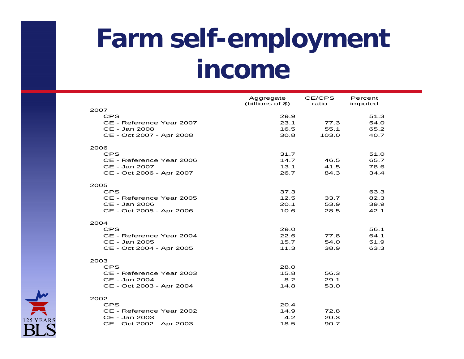### **Farm self-employment income**

|                          | Aggregate        | CE/CPS | Percent |
|--------------------------|------------------|--------|---------|
|                          | (billions of \$) | ratio  | imputed |
| 2007                     |                  |        |         |
| <b>CPS</b>               | 29.9             |        | 51.3    |
| CE - Reference Year 2007 | 23.1             | 77.3   | 54.0    |
| CE - Jan 2008            | 16.5             | 55.1   | 65.2    |
| CE - Oct 2007 - Apr 2008 | 30.8             | 103.0  | 40.7    |
| 2006                     |                  |        |         |
| <b>CPS</b>               | 31.7             |        | 51.0    |
| CE - Reference Year 2006 | 14.7             | 46.5   | 65.7    |
| CE - Jan 2007            | 13.1             | 41.5   | 78.6    |
| CE - Oct 2006 - Apr 2007 | 26.7             | 84.3   | 34.4    |
| 2005                     |                  |        |         |
| <b>CPS</b>               | 37.3             |        | 63.3    |
| CE - Reference Year 2005 | 12.5             | 33.7   | 82.3    |
| CE - Jan 2006            | 20.1             | 53.9   | 39.9    |
| CE - Oct 2005 - Apr 2006 | 10.6             | 28.5   | 42.1    |
| 2004                     |                  |        |         |
| <b>CPS</b>               | 29.0             |        | 56.1    |
| CE - Reference Year 2004 | 22.6             | 77.8   | 64.1    |
| CE - Jan 2005            | 15.7             | 54.0   | 51.9    |
| CE - Oct 2004 - Apr 2005 | 11.3             | 38.9   | 63.3    |
|                          |                  |        |         |
| 2003                     |                  |        |         |
| <b>CPS</b>               | 28.0             |        |         |
| CE - Reference Year 2003 | 15.8             | 56.3   |         |
| CE - Jan 2004            | 8.2              | 29.1   |         |
| CE - Oct 2003 - Apr 2004 | 14.8             | 53.0   |         |
| 2002                     |                  |        |         |
| <b>CPS</b>               | 20.4             |        |         |
| CE - Reference Year 2002 | 14.9             | 72.8   |         |
| CE - Jan 2003            | 4.2              | 20.3   |         |
| CE - Oct 2002 - Apr 2003 | 18.5             | 90.7   |         |

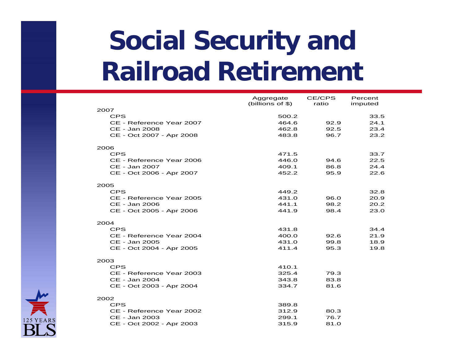### **Social Security and Railroad Retirement**

| 2007<br><b>CPS</b><br>500.2<br>33.5<br>464.6<br>24.1<br>CE - Reference Year 2007<br>92.9<br>CE - Jan 2008<br>462.8<br>92.5<br>23.4<br>96.7<br>CE - Oct 2007 - Apr 2008<br>483.8<br>23.2<br>2006<br><b>CPS</b><br>33.7<br>471.5<br>CE - Reference Year 2006<br>446.0<br>94.6<br>22.5<br>CE - Jan 2007<br>409.1<br>86.8<br>24.4<br>CE - Oct 2006 - Apr 2007<br>452.2<br>95.9<br>22.6<br>2005<br><b>CPS</b><br>449.2<br>32.8<br>431.0<br>20.9<br>CE - Reference Year 2005<br>96.0<br>CE - Jan 2006<br>441.1<br>98.2<br>20.2<br>CE - Oct 2005 - Apr 2006<br>441.9<br>98.4<br>23.0<br>2004<br><b>CPS</b><br>431.8<br>34.4<br>400.0<br>21.9<br>CE - Reference Year 2004<br>92.6<br>CE - Jan 2005<br>431.0<br>99.8<br>18.9<br>411.4<br>CE - Oct 2004 - Apr 2005<br>95.3<br>19.8<br>2003<br><b>CPS</b><br>410.1<br>CE - Reference Year 2003<br>325.4<br>79.3<br>83.8<br>CE - Jan 2004<br>343.8<br>81.6<br>CE - Oct 2003 - Apr 2004<br>334.7<br>2002<br><b>CPS</b><br>389.8<br>CE - Reference Year 2002<br>312.9<br>80.3 | Aggregate          | CE/CPS | Percent |
|-----------------------------------------------------------------------------------------------------------------------------------------------------------------------------------------------------------------------------------------------------------------------------------------------------------------------------------------------------------------------------------------------------------------------------------------------------------------------------------------------------------------------------------------------------------------------------------------------------------------------------------------------------------------------------------------------------------------------------------------------------------------------------------------------------------------------------------------------------------------------------------------------------------------------------------------------------------------------------------------------------------------|--------------------|--------|---------|
|                                                                                                                                                                                                                                                                                                                                                                                                                                                                                                                                                                                                                                                                                                                                                                                                                                                                                                                                                                                                                 | (billions of $$$ ) | ratio  | imputed |
|                                                                                                                                                                                                                                                                                                                                                                                                                                                                                                                                                                                                                                                                                                                                                                                                                                                                                                                                                                                                                 |                    |        |         |
|                                                                                                                                                                                                                                                                                                                                                                                                                                                                                                                                                                                                                                                                                                                                                                                                                                                                                                                                                                                                                 |                    |        |         |
|                                                                                                                                                                                                                                                                                                                                                                                                                                                                                                                                                                                                                                                                                                                                                                                                                                                                                                                                                                                                                 |                    |        |         |
|                                                                                                                                                                                                                                                                                                                                                                                                                                                                                                                                                                                                                                                                                                                                                                                                                                                                                                                                                                                                                 |                    |        |         |
|                                                                                                                                                                                                                                                                                                                                                                                                                                                                                                                                                                                                                                                                                                                                                                                                                                                                                                                                                                                                                 |                    |        |         |
|                                                                                                                                                                                                                                                                                                                                                                                                                                                                                                                                                                                                                                                                                                                                                                                                                                                                                                                                                                                                                 |                    |        |         |
|                                                                                                                                                                                                                                                                                                                                                                                                                                                                                                                                                                                                                                                                                                                                                                                                                                                                                                                                                                                                                 |                    |        |         |
|                                                                                                                                                                                                                                                                                                                                                                                                                                                                                                                                                                                                                                                                                                                                                                                                                                                                                                                                                                                                                 |                    |        |         |
|                                                                                                                                                                                                                                                                                                                                                                                                                                                                                                                                                                                                                                                                                                                                                                                                                                                                                                                                                                                                                 |                    |        |         |
|                                                                                                                                                                                                                                                                                                                                                                                                                                                                                                                                                                                                                                                                                                                                                                                                                                                                                                                                                                                                                 |                    |        |         |
|                                                                                                                                                                                                                                                                                                                                                                                                                                                                                                                                                                                                                                                                                                                                                                                                                                                                                                                                                                                                                 |                    |        |         |
|                                                                                                                                                                                                                                                                                                                                                                                                                                                                                                                                                                                                                                                                                                                                                                                                                                                                                                                                                                                                                 |                    |        |         |
|                                                                                                                                                                                                                                                                                                                                                                                                                                                                                                                                                                                                                                                                                                                                                                                                                                                                                                                                                                                                                 |                    |        |         |
|                                                                                                                                                                                                                                                                                                                                                                                                                                                                                                                                                                                                                                                                                                                                                                                                                                                                                                                                                                                                                 |                    |        |         |
|                                                                                                                                                                                                                                                                                                                                                                                                                                                                                                                                                                                                                                                                                                                                                                                                                                                                                                                                                                                                                 |                    |        |         |
|                                                                                                                                                                                                                                                                                                                                                                                                                                                                                                                                                                                                                                                                                                                                                                                                                                                                                                                                                                                                                 |                    |        |         |
|                                                                                                                                                                                                                                                                                                                                                                                                                                                                                                                                                                                                                                                                                                                                                                                                                                                                                                                                                                                                                 |                    |        |         |
|                                                                                                                                                                                                                                                                                                                                                                                                                                                                                                                                                                                                                                                                                                                                                                                                                                                                                                                                                                                                                 |                    |        |         |
|                                                                                                                                                                                                                                                                                                                                                                                                                                                                                                                                                                                                                                                                                                                                                                                                                                                                                                                                                                                                                 |                    |        |         |
|                                                                                                                                                                                                                                                                                                                                                                                                                                                                                                                                                                                                                                                                                                                                                                                                                                                                                                                                                                                                                 |                    |        |         |
|                                                                                                                                                                                                                                                                                                                                                                                                                                                                                                                                                                                                                                                                                                                                                                                                                                                                                                                                                                                                                 |                    |        |         |
|                                                                                                                                                                                                                                                                                                                                                                                                                                                                                                                                                                                                                                                                                                                                                                                                                                                                                                                                                                                                                 |                    |        |         |
|                                                                                                                                                                                                                                                                                                                                                                                                                                                                                                                                                                                                                                                                                                                                                                                                                                                                                                                                                                                                                 |                    |        |         |
|                                                                                                                                                                                                                                                                                                                                                                                                                                                                                                                                                                                                                                                                                                                                                                                                                                                                                                                                                                                                                 |                    |        |         |
|                                                                                                                                                                                                                                                                                                                                                                                                                                                                                                                                                                                                                                                                                                                                                                                                                                                                                                                                                                                                                 |                    |        |         |
|                                                                                                                                                                                                                                                                                                                                                                                                                                                                                                                                                                                                                                                                                                                                                                                                                                                                                                                                                                                                                 |                    |        |         |
|                                                                                                                                                                                                                                                                                                                                                                                                                                                                                                                                                                                                                                                                                                                                                                                                                                                                                                                                                                                                                 |                    |        |         |
|                                                                                                                                                                                                                                                                                                                                                                                                                                                                                                                                                                                                                                                                                                                                                                                                                                                                                                                                                                                                                 |                    |        |         |
|                                                                                                                                                                                                                                                                                                                                                                                                                                                                                                                                                                                                                                                                                                                                                                                                                                                                                                                                                                                                                 |                    |        |         |
|                                                                                                                                                                                                                                                                                                                                                                                                                                                                                                                                                                                                                                                                                                                                                                                                                                                                                                                                                                                                                 |                    |        |         |
| CE - Jan 2003<br>76.7<br>299.1                                                                                                                                                                                                                                                                                                                                                                                                                                                                                                                                                                                                                                                                                                                                                                                                                                                                                                                                                                                  |                    |        |         |
| CE - Oct 2002 - Apr 2003<br>81.0<br>315.9                                                                                                                                                                                                                                                                                                                                                                                                                                                                                                                                                                                                                                                                                                                                                                                                                                                                                                                                                                       |                    |        |         |

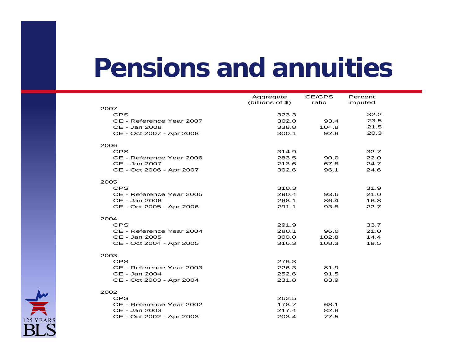### **Pensions and annuities**

|                          | Aggregate<br>(billions of $$$ ) | CE/CPS<br>ratio | Percent |
|--------------------------|---------------------------------|-----------------|---------|
| 2007                     |                                 |                 | imputed |
| <b>CPS</b>               | 323.3                           |                 | 32.2    |
| CE - Reference Year 2007 | 302.0                           | 93.4            | 23.5    |
| CE - Jan 2008            | 338.8                           | 104.8           | 21.5    |
| CE - Oct 2007 - Apr 2008 | 300.1                           | 92.8            | 20.3    |
| 2006                     |                                 |                 |         |
| <b>CPS</b>               | 314.9                           |                 | 32.7    |
| CE - Reference Year 2006 | 283.5                           | 90.0            | 22.0    |
| CE - Jan 2007            | 213.6                           | 67.8            | 24.7    |
| CE - Oct 2006 - Apr 2007 | 302.6                           | 96.1            | 24.6    |
| 2005                     |                                 |                 |         |
| <b>CPS</b>               | 310.3                           |                 | 31.9    |
| CE - Reference Year 2005 | 290.4                           | 93.6            | 21.0    |
| CE - Jan 2006            | 268.1                           | 86.4            | 16.8    |
| CE - Oct 2005 - Apr 2006 | 291.1                           | 93.8            | 22.7    |
| 2004                     |                                 |                 |         |
| <b>CPS</b>               | 291.9                           |                 | 33.7    |
| CE - Reference Year 2004 | 280.1                           | 96.0            | 21.0    |
| CE - Jan 2005            | 300.0                           | 102.8           | 14.4    |
| CE - Oct 2004 - Apr 2005 | 316.3                           | 108.3           | 19.5    |
| 2003                     |                                 |                 |         |
| <b>CPS</b>               | 276.3                           |                 |         |
| CE - Reference Year 2003 | 226.3                           | 81.9            |         |
| CE - Jan 2004            | 252.6                           | 91.5            |         |
| CE - Oct 2003 - Apr 2004 | 231.8                           | 83.9            |         |
| 2002                     |                                 |                 |         |
| <b>CPS</b>               | 262.5                           |                 |         |
| CE - Reference Year 2002 | 178.7                           | 68.1            |         |
| CE - Jan 2003            | 217.4                           | 82.8            |         |
| CE - Oct 2002 - Apr 2003 | 203.4                           | 77.5            |         |

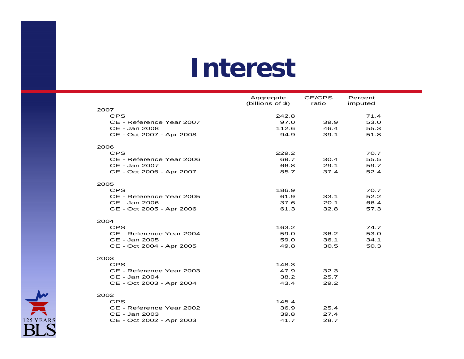### **Interest**

|                          | Aggregate          | <b>CE/CPS</b> | Percent |
|--------------------------|--------------------|---------------|---------|
|                          | (billions of $$$ ) | ratio         | imputed |
| 2007                     |                    |               |         |
| <b>CPS</b>               | 242.8              |               | 71.4    |
| CE - Reference Year 2007 | 97.0               | 39.9          | 53.0    |
| CE - Jan 2008            | 112.6              | 46.4          | 55.3    |
| CE - Oct 2007 - Apr 2008 | 94.9               | 39.1          | 51.8    |
| 2006                     |                    |               |         |
| <b>CPS</b>               | 229.2              |               | 70.7    |
| CE - Reference Year 2006 | 69.7               | 30.4          | 55.5    |
| CE - Jan 2007            | 66.8               | 29.1          | 59.7    |
| CE - Oct 2006 - Apr 2007 | 85.7               | 37.4          | 52.4    |
|                          |                    |               |         |
| 2005<br><b>CPS</b>       | 186.9              |               | 70.7    |
| CE - Reference Year 2005 | 61.9               | 33.1          | 52.2    |
| CE - Jan 2006            | 37.6               | 20.1          | 66.4    |
| CE - Oct 2005 - Apr 2006 | 61.3               | 32.8          | 57.3    |
|                          |                    |               |         |
| 2004                     |                    |               |         |
| CPS                      | 163.2              |               | 74.7    |
| CE - Reference Year 2004 | 59.0               | 36.2          | 53.0    |
| CE - Jan 2005            | 59.0               | 36.1          | 34.1    |
| CE - Oct 2004 - Apr 2005 | 49.8               | 30.5          | 50.3    |
| 2003                     |                    |               |         |
| <b>CPS</b>               | 148.3              |               |         |
| CE - Reference Year 2003 | 47.9               | 32.3          |         |
| CE - Jan 2004            | 38.2               | 25.7          |         |
| CE - Oct 2003 - Apr 2004 | 43.4               | 29.2          |         |
| 2002                     |                    |               |         |
| <b>CPS</b>               | 145.4              |               |         |
| CE - Reference Year 2002 | 36.9               | 25.4          |         |
| CE - Jan 2003            | 39.8               | 27.4          |         |
| CE - Oct 2002 - Apr 2003 | 41.7               | 28.7          |         |
|                          |                    |               |         |

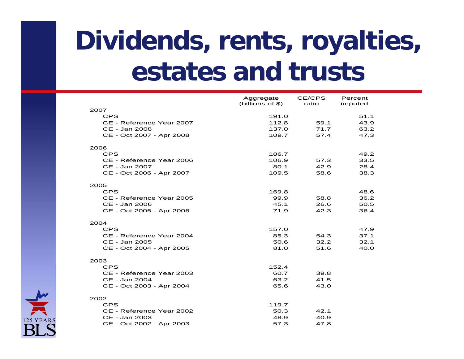### **Dividends, rents, royalties, Restates** and **trusts**

|                                           | Aggregate        | CE/CPS       | Percent      |
|-------------------------------------------|------------------|--------------|--------------|
|                                           | (billions of \$) | ratio        | imputed      |
| 2007                                      |                  |              |              |
| <b>CPS</b>                                | 191.0            |              | 51.1         |
| CE - Reference Year 2007                  | 112.8            | 59.1<br>71.7 | 43.9         |
| CE - Jan 2008<br>CE - Oct 2007 - Apr 2008 | 137.0<br>109.7   | 57.4         | 63.2<br>47.3 |
|                                           |                  |              |              |
| 2006                                      |                  |              |              |
| <b>CPS</b>                                | 186.7            |              | 49.2         |
| CE - Reference Year 2006                  | 106.9            | 57.3         | 33.5         |
| CE - Jan 2007                             | 80.1             | 42.9         | 28.4         |
| CE - Oct 2006 - Apr 2007                  | 109.5            | 58.6         | 38.3         |
|                                           |                  |              |              |
| 2005                                      |                  |              |              |
| <b>CPS</b>                                | 169.8            |              | 48.6         |
| CE - Reference Year 2005                  | 99.9             | 58.8         | 36.2         |
| CE - Jan 2006                             | 45.1             | 26.6         | 50.5         |
| CE - Oct 2005 - Apr 2006                  | 71.9             | 42.3         | 36.4         |
|                                           |                  |              |              |
| 2004                                      |                  |              |              |
| <b>CPS</b>                                | 157.0            |              | 47.9         |
| CE - Reference Year 2004                  | 85.3             | 54.3         | 37.1         |
| CE - Jan 2005                             | 50.6             | 32.2         | 32.1         |
| CE - Oct 2004 - Apr 2005                  | 81.0             | 51.6         | 40.0         |
|                                           |                  |              |              |
| 2003                                      |                  |              |              |
| <b>CPS</b>                                | 152.4            |              |              |
| CE - Reference Year 2003                  | 60.7             | 39.8         |              |
| CE - Jan 2004                             | 63.2             | 41.5         |              |
| CE - Oct 2003 - Apr 2004                  | 65.6             | 43.0         |              |
|                                           |                  |              |              |
| 2002<br><b>CPS</b>                        | 119.7            |              |              |
| CE - Reference Year 2002                  | 50.3             | 42.1         |              |
| CE - Jan 2003                             | 48.9             | 40.9         |              |
| CE - Oct 2002 - Apr 2003                  | 57.3             | 47.8         |              |
|                                           |                  |              |              |

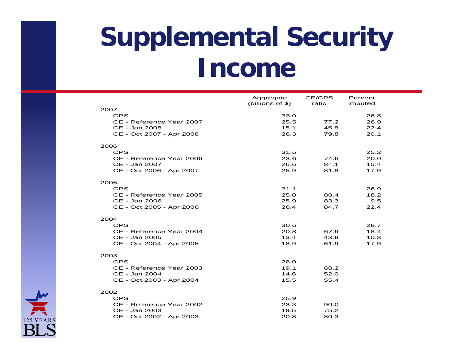### **Supplemental Security Income**

|                          | Aggregate<br>(billions of $$$ ) | CE/CPS<br>ratio | Percent<br>imputed |
|--------------------------|---------------------------------|-----------------|--------------------|
| 2007                     |                                 |                 |                    |
| <b>CPS</b>               | 33.0                            |                 | 26.8               |
| CE - Reference Year 2007 | 25.5                            | 77.2            | 26.9               |
| CE - Jan 2008            | 15.1                            | 45.8            | 22.4               |
| CE - Oct 2007 - Apr 2008 | 26.3                            | 79.8            | 20.1               |
| 2006                     |                                 |                 |                    |
| <b>CPS</b>               | 31.6                            |                 | 25.2               |
| CE - Reference Year 2006 | 23.6                            | 74.6            | 20.0               |
| CE - Jan 2007            | 26.6                            | 84.1            | 15.4               |
| CE - Oct 2006 - Apr 2007 | 25.9                            | 81.8            | 17.9               |
| 2005                     |                                 |                 |                    |
| <b>CPS</b>               | 31.1                            |                 | 26.9               |
| CE - Reference Year 2005 | 25.0                            | 80.4            | 18.2               |
| CE - Jan 2006            | 25.9                            | 83.3            | 9.5                |
| CE - Oct 2005 - Apr 2006 | 26.4                            | 84.7            | 22.4               |
| 2004                     |                                 |                 |                    |
| <b>CPS</b>               | 30.6                            |                 | 28.7               |
| CE - Reference Year 2004 | 20.8                            | 67.9            | 18.4               |
| CE - Jan 2005            | 13.4                            | 43.8            | 10.3               |
| CE - Oct 2004 - Apr 2005 | 18.9                            | 61.9            | 17.9               |
| 2003                     |                                 |                 |                    |
| <b>CPS</b>               | 28.0                            |                 |                    |
| CE - Reference Year 2003 | 19.1                            | 68.2            |                    |
| CE - Jan 2004            | 14.6                            | 52.0            |                    |
| CE - Oct 2003 - Apr 2004 | 15.5                            | 55.4            |                    |
| 2002                     |                                 |                 |                    |
| <b>CPS</b>               | 25.9                            |                 |                    |
| CE - Reference Year 2002 | 23.3                            | 90.0            |                    |
| CE - Jan 2003            | 19.5                            | 75.2            |                    |
| CE - Oct 2002 - Apr 2003 | 20.8                            | 80.3            |                    |

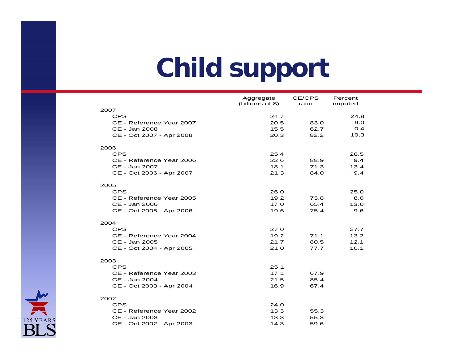### **Child support**

|                          | Aggregate          | <b>CE/CPS</b> | Percent |  |
|--------------------------|--------------------|---------------|---------|--|
|                          | (billions of $$$ ) | ratio         | imputed |  |
| 2007<br><b>CPS</b>       | 24.7               |               | 24.8    |  |
| CE - Reference Year 2007 | 20.5               | 83.0          | 9.0     |  |
| CE - Jan 2008            | 15.5               | 62.7          | O.4     |  |
| CE - Oct 2007 - Apr 2008 | 20.3               | 82.2          | 10.3    |  |
|                          |                    |               |         |  |
| 2006                     |                    |               |         |  |
| <b>CPS</b>               | 25.4               |               | 28.5    |  |
| CE - Reference Year 2006 | 22.6               | 88.9          | 9.4     |  |
| CE - Jan 2007            | 18.1               | 71.3          | 13.4    |  |
| CE - Oct 2006 - Apr 2007 | 21.3               | 84.0          | 9.4     |  |
|                          |                    |               |         |  |
| 2005                     |                    |               |         |  |
| <b>CPS</b>               | 26.0               |               | 25.0    |  |
| CE - Reference Year 2005 | 19.2               | 73.8          | 8.0     |  |
| CE - Jan 2006            | 17.0               | 65.4          | 13.0    |  |
| CE - Oct 2005 - Apr 2006 | 19.6               | 75.4          | 9.6     |  |
| 2004                     |                    |               |         |  |
| <b>CPS</b>               | 27.0               |               | 27.7    |  |
| CE - Reference Year 2004 | 19.2               | 71.1          | 13.2    |  |
| CE - Jan 2005            | 21.7               | 80.5          | 12.1    |  |
| CE - Oct 2004 - Apr 2005 | 21.0               | 77.7          | 10.1    |  |
|                          |                    |               |         |  |
| 2003                     |                    |               |         |  |
| <b>CPS</b>               | 25.1               |               |         |  |
| CE - Reference Year 2003 | 17.1               | 67.9          |         |  |
| CE - Jan 2004            | 21.5               | 85.4          |         |  |
| CE - Oct 2003 - Apr 2004 | 16.9               | 67.4          |         |  |
| 2002                     |                    |               |         |  |
| <b>CPS</b>               | 24.0               |               |         |  |
| CE - Reference Year 2002 | 13.3               | 55.3          |         |  |
| CE - Jan 2003            | 13.3               | 55.3          |         |  |
| CE - Oct 2002 - Apr 2003 | 14.3               | 59.6          |         |  |
|                          |                    |               |         |  |

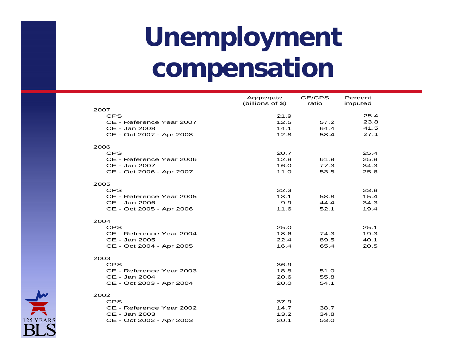### **Unemployment compensation**

|                          | Aggregate<br>(billions of \$) | CE/CPS<br>ratio | Percent<br>imputed |
|--------------------------|-------------------------------|-----------------|--------------------|
| 2007                     |                               |                 |                    |
| <b>CPS</b>               | 21.9                          |                 | 25.4               |
| CE - Reference Year 2007 | 12.5                          | 57.2            | 23.8               |
| CE - Jan 2008            | 14.1                          | 64.4            | 41.5               |
| CE - Oct 2007 - Apr 2008 | 12.8                          | 58.4            | 27.1               |
| 2006                     |                               |                 |                    |
| <b>CPS</b>               | 20.7                          |                 | 25.4               |
| CE - Reference Year 2006 | 12.8                          | 61.9            | 25.8               |
| CE - Jan 2007            | 16.0                          | 77.3            | 34.3               |
| CE - Oct 2006 - Apr 2007 | 11.0                          | 53.5            | 25.6               |
| 2005                     |                               |                 |                    |
| <b>CPS</b>               | 22.3                          |                 | 23.8               |
| CE - Reference Year 2005 | 13.1                          | 58.8            | 15.4               |
| CE - Jan 2006            | 9.9                           | 44.4            | 34.3               |
| CE - Oct 2005 - Apr 2006 | 11.6                          | 52.1            | 19.4               |
| 2004                     |                               |                 |                    |
| <b>CPS</b>               | 25.0                          |                 | 25.1               |
| CE - Reference Year 2004 | 18.6                          | 74.3            | 19.3               |
| CE - Jan 2005            | 22.4                          | 89.5            | 40.1               |
| CE - Oct 2004 - Apr 2005 | 16.4                          | 65.4            | 20.5               |
| 2003                     |                               |                 |                    |
| <b>CPS</b>               | 36.9                          |                 |                    |
| CE - Reference Year 2003 | 18.8                          | 51.0            |                    |
| CE - Jan 2004            | 20.6                          | 55.8            |                    |
| CE - Oct 2003 - Apr 2004 | 20.0                          | 54.1            |                    |
| 2002                     |                               |                 |                    |
| <b>CPS</b>               | 37.9                          |                 |                    |
| CE - Reference Year 2002 | 14.7                          | 38.7            |                    |
| CE - Jan 2003            | 13.2                          | 34.8            |                    |
| CE - Oct 2002 - Apr 2003 | 20.1                          | 53.0            |                    |

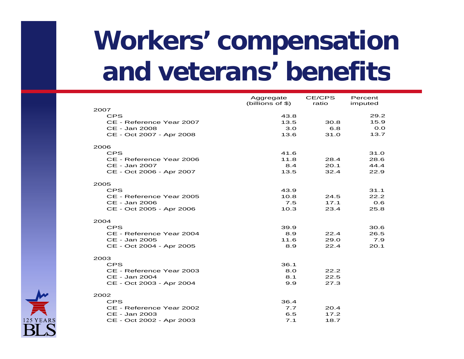### **Workers' compensation and ete ans' benefits and veterans'**

|                          | Aggregate<br>(billions of \$) | CE/CPS<br>ratio | Percent<br>imputed |
|--------------------------|-------------------------------|-----------------|--------------------|
| 2007                     |                               |                 |                    |
| <b>CPS</b>               | 43.8                          |                 | 29.2               |
| CE - Reference Year 2007 | 13.5                          | 30.8            | 15.9               |
| CE - Jan 2008            | 3.0                           | 6.8             | O.O                |
| CE - Oct 2007 - Apr 2008 | 13.6                          | 31.0            | 13.7               |
| 2006                     |                               |                 |                    |
| <b>CPS</b>               | 41.6                          |                 | 31.0               |
| CE - Reference Year 2006 | 11.8                          | 28.4            | 28.6               |
| CE - Jan 2007            | 8.4                           | 20.1            | 44.4               |
| CE - Oct 2006 - Apr 2007 | 13.5                          | 32.4            | 22.9               |
| 2005                     |                               |                 |                    |
| <b>CPS</b>               | 43.9                          |                 | 31.1               |
| CE - Reference Year 2005 | 10.8                          | 24.5            | 22.2               |
| CE - Jan 2006            | 7.5                           | 17.1            | 0.6                |
| CE - Oct 2005 - Apr 2006 | 10.3                          | 23.4            | 25.8               |
| 2004                     |                               |                 |                    |
| <b>CPS</b>               | 39.9                          |                 | 30.6               |
| CE - Reference Year 2004 | 8.9                           | 22.4            | 26.5               |
| CE - Jan 2005            | 11.6                          | 29.0            | 7.9                |
| CE - Oct 2004 - Apr 2005 | 8.9                           | 22.4            | 20.1               |
| 2003                     |                               |                 |                    |
| <b>CPS</b>               | 36.1                          |                 |                    |
| CE - Reference Year 2003 | 8.0                           | 22.2            |                    |
| CE - Jan 2004            | 8.1                           | 22.5            |                    |
| CE - Oct 2003 - Apr 2004 | 9.9                           | 27.3            |                    |
|                          |                               |                 |                    |
| 2002<br><b>CPS</b>       | 36.4                          |                 |                    |
| CE - Reference Year 2002 | 7.7                           | 20.4            |                    |
| CE - Jan 2003            | 6.5                           | 17.2            |                    |
| CE - Oct 2002 - Apr 2003 | 7.1                           | 18.7            |                    |

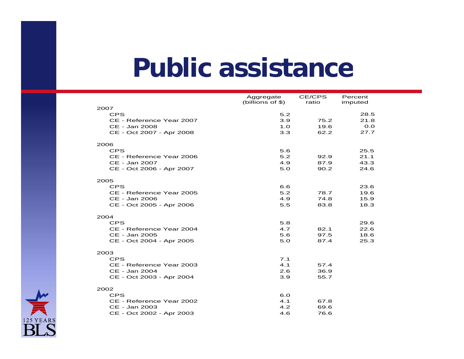### **Public assistance**

|                          | Aggregate<br>(billions of $$$ ) | CE/CPS<br>ratio | Percent<br>imputed |
|--------------------------|---------------------------------|-----------------|--------------------|
| 2007                     |                                 |                 |                    |
| <b>CPS</b>               | 5.2                             |                 | 28.5               |
| CE - Reference Year 2007 | 3.9                             | 75.2            | 21.8               |
| CE - Jan 2008            | 1.0                             | 19.6            | O.O                |
| CE - Oct 2007 - Apr 2008 | 3.3                             | 62.2            | 27.7               |
| 2006                     |                                 |                 |                    |
| <b>CPS</b>               | 5.6                             |                 | 25.5               |
| CE - Reference Year 2006 | 5.2                             | 92.9            | 21.1               |
| CE - Jan 2007            | 4.9                             | 87.9            | 43.3               |
| CE - Oct 2006 - Apr 2007 | 5.0                             | 90.2            | 24.6               |
| 2005                     |                                 |                 |                    |
| <b>CPS</b>               | 6.6                             |                 | 23.6               |
| CE - Reference Year 2005 | 5.2                             | 78.7            | 19.6               |
| CE - Jan 2006            | 4.9                             | 74.8            | 15.9               |
| CE - Oct 2005 - Apr 2006 | 5.5                             | 83.8            | 18.3               |
| 2004                     |                                 |                 |                    |
| <b>CPS</b>               | 5.8                             |                 | 29.6               |
| CE - Reference Year 2004 | 4.7                             | 82.1            | 22.6               |
| CE - Jan 2005            | 5.6                             | 97.5            | 18.6               |
| CE - Oct 2004 - Apr 2005 | 5.0                             | 87.4            | 25.3               |
| 2003                     |                                 |                 |                    |
| <b>CPS</b>               | 7.1                             |                 |                    |
| CE - Reference Year 2003 | 4.1                             | 57.4            |                    |
| CE - Jan 2004            | 2.6                             | 36.9            |                    |
| CE - Oct 2003 - Apr 2004 | 3.9                             | 55.7            |                    |
| 2002                     |                                 |                 |                    |
| <b>CPS</b>               | 6.0                             |                 |                    |
| CE - Reference Year 2002 | 4.1                             | 67.8            |                    |
| CE - Jan 2003            | 4.2                             | 69.6            |                    |
| CE - Oct 2002 - Apr 2003 | 4.6                             | 76.6            |                    |

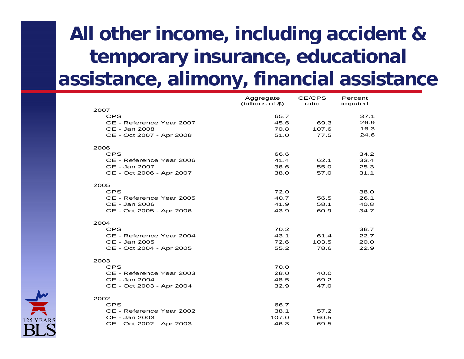### **All other income, including accident & temporary insurance, educational assistance, alimony, financial assistance**

|                                           | Aggregate        | CE/CPS       | Percent      |
|-------------------------------------------|------------------|--------------|--------------|
|                                           | (billions of \$) | ratio        | imputed      |
| 2007                                      |                  |              | 37.1         |
| <b>CPS</b>                                | 65.7<br>45.6     | 69.3         | 26.9         |
| CE - Reference Year 2007<br>CE - Jan 2008 | 70.8             | 107.6        | 16.3         |
| CE - Oct 2007 - Apr 2008                  | 51.0             | 77.5         | 24.6         |
|                                           |                  |              |              |
| 2006                                      |                  |              |              |
| <b>CPS</b>                                | 66.6             |              | 34.2         |
| CE - Reference Year 2006                  | 41.4             | 62.1         | 33.4         |
| CE - Jan 2007                             | 36.6             | 55.0         | 25.3         |
| CE - Oct 2006 - Apr 2007                  | 38.0             | 57.0         | 31.1         |
|                                           |                  |              |              |
| 2005                                      |                  |              |              |
| <b>CPS</b>                                | 72.0             |              | 38.0         |
| CE - Reference Year 2005                  | 40.7             | 56.5         | 26.1         |
| CE - Jan 2006                             | 41.9<br>43.9     | 58.1<br>60.9 | 40.8<br>34.7 |
| CE - Oct 2005 - Apr 2006                  |                  |              |              |
| 2004                                      |                  |              |              |
| <b>CPS</b>                                | 70.2             |              | 38.7         |
| CE - Reference Year 2004                  | 43.1             | 61.4         | 22.7         |
| CE - Jan 2005                             | 72.6             | 103.5        | 20.0         |
| CE - Oct 2004 - Apr 2005                  | 55.2             | 78.6         | 22.9         |
|                                           |                  |              |              |
| 2003                                      |                  |              |              |
| <b>CPS</b>                                | 70.0             |              |              |
| CE - Reference Year 2003<br>CE - Jan 2004 | 28.0<br>48.5     | 40.0<br>69.2 |              |
|                                           | 32.9             | 47.0         |              |
| CE - Oct 2003 - Apr 2004                  |                  |              |              |
| 2002                                      |                  |              |              |
| <b>CPS</b>                                | 66.7             |              |              |
| CE - Reference Year 2002                  | 38.1             | 57.2         |              |
| CE - Jan 2003                             | 107.0            | 160.5        |              |
| CE - Oct 2002 - Apr 2003                  | 46.3             | 69.5         |              |